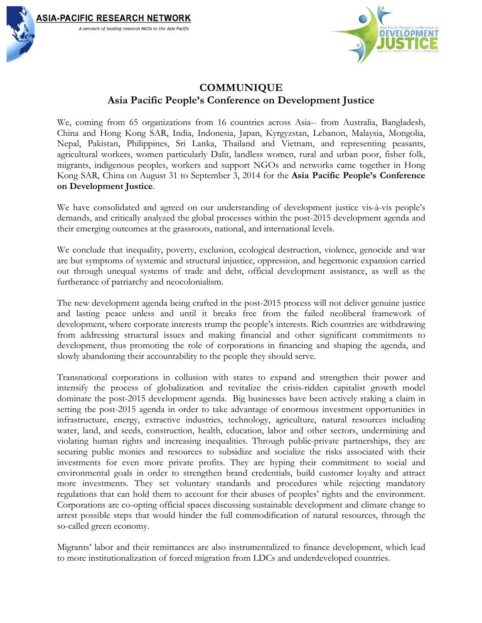

# **COMMUNIQUE Asia Pacific People's Conference on Development Justice**

We, coming from 65 organizations from 16 countries across Asia-- from Australia, Bangladesh, China and Hong Kong SAR, India, Indonesia, Japan, Kyrgyzstan, Lebanon, Malaysia, Mongolia, Nepal, Pakistan, Philippines, Sri Lanka, Thailand and Vietnam, and representing peasants, agricultural workers, women particularly Dalit, landless women, rural and urban poor, fisher folk, migrants, indigenous peoples, workers and support NGOs and networks came together in Hong Kong SAR, China on August 31 to September 3, 2014 for the **Asia Pacific People's Conference on Development Justice**.

We have consolidated and agreed on our understanding of development justice vis-à-vis people's demands, and critically analyzed the global processes within the post-2015 development agenda and their emerging outcomes at the grassroots, national, and international levels.

We conclude that inequality, poverty, exclusion, ecological destruction, violence, genocide and war are but symptoms of systemic and structural injustice, oppression, and hegemonic expansion carried out through unequal systems of trade and debt, official development assistance, as well as the furtherance of patriarchy and neocolonialism.

The new development agenda being crafted in the post-2015 process will not deliver genuine justice and lasting peace unless and until it breaks free from the failed neoliberal framework of development, where corporate interests trump the people's interests. Rich countries are withdrawing from addressing structural issues and making financial and other significant commitments to development, thus promoting the role of corporations in financing and shaping the agenda, and slowly abandoning their accountability to the people they should serve.

Transnational corporations in collusion with states to expand and strengthen their power and intensify the process of globalization and revitalize the crisis-ridden capitalist growth model dominate the post-2015 development agenda. Big businesses have been actively staking a claim in setting the post-2015 agenda in order to take advantage of enormous investment opportunities in infrastructure, energy, extractive industries, technology, agriculture, natural resources including water, land, and seeds, construction, health, education, labor and other sectors, undermining and violating human rights and increasing inequalities. Through public-private partnerships, they are securing public monies and resources to subsidize and socialize the risks associated with their investments for even more private profits. They are hyping their commitment to social and environmental goals in order to strengthen brand credentials, build customer loyalty and attract more investments. They set voluntary standards and procedures while rejecting mandatory regulations that can hold them to account for their abuses of peoples' rights and the environment. Corporations are co-opting official spaces discussing sustainable development and climate change to arrest possible steps that would hinder the full commodification of natural resources, through the so-called green economy.

Migrants' labor and their remittances are also instrumentalized to finance development, which lead to more institutionalization of forced migration from LDCs and underdeveloped countries.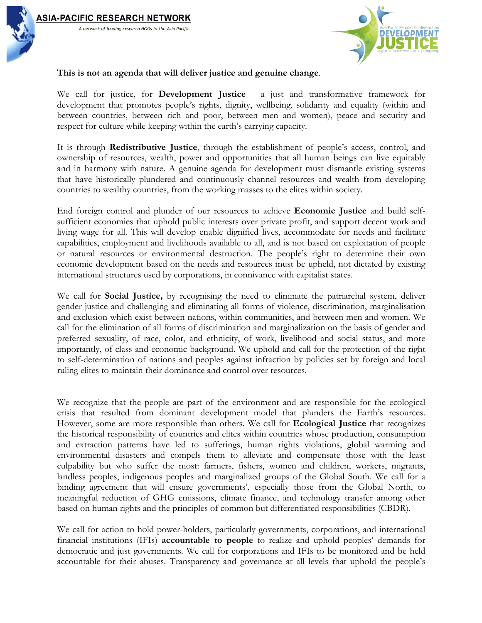



#### **This is not an agenda that will deliver justice and genuine change**.

A network of leading research NGOs in the Asia Pacific

We call for justice, for **Development Justice** - a just and transformative framework for development that promotes people's rights, dignity, wellbeing, solidarity and equality (within and between countries, between rich and poor, between men and women), peace and security and respect for culture while keeping within the earth's carrying capacity.

It is through **Redistributive Justice**, through the establishment of people's access, control, and ownership of resources, wealth, power and opportunities that all human beings can live equitably and in harmony with nature. A genuine agenda for development must dismantle existing systems that have historically plundered and continuously channel resources and wealth from developing countries to wealthy countries, from the working masses to the elites within society.

End foreign control and plunder of our resources to achieve **Economic Justice** and build selfsufficient economies that uphold public interests over private profit, and support decent work and living wage for all. This will develop enable dignified lives, accommodate for needs and facilitate capabilities, employment and livelihoods available to all, and is not based on exploitation of people or natural resources or environmental destruction. The people's right to determine their own economic development based on the needs and resources must be upheld, not dictated by existing international structures used by corporations, in connivance with capitalist states.

We call for **Social Justice,** by recognising the need to eliminate the patriarchal system, deliver gender justice and challenging and eliminating all forms of violence, discrimination, marginalisation and exclusion which exist between nations, within communities, and between men and women. We call for the elimination of all forms of discrimination and marginalization on the basis of gender and preferred sexuality, of race, color, and ethnicity, of work, livelihood and social status, and more importantly, of class and economic background. We uphold and call for the protection of the right to self-determination of nations and peoples against infraction by policies set by foreign and local ruling elites to maintain their dominance and control over resources.

We recognize that the people are part of the environment and are responsible for the ecological crisis that resulted from dominant development model that plunders the Earth's resources. However, some are more responsible than others. We call for **Ecological Justice** that recognizes the historical responsibility of countries and elites within countries whose production, consumption and extraction patterns have led to sufferings, human rights violations, global warming and environmental disasters and compels them to alleviate and compensate those with the least culpability but who suffer the most: farmers, fishers, women and children, workers, migrants, landless peoples, indigenous peoples and marginalized groups of the Global South. We call for a binding agreement that will ensure governments', especially those from the Global North, to meaningful reduction of GHG emissions, climate finance, and technology transfer among other based on human rights and the principles of common but differentiated responsibilities (CBDR).

We call for action to hold power-holders, particularly governments, corporations, and international financial institutions (IFIs) **accountable to people** to realize and uphold peoples' demands for democratic and just governments. We call for corporations and IFIs to be monitored and be held accountable for their abuses. Transparency and governance at all levels that uphold the people's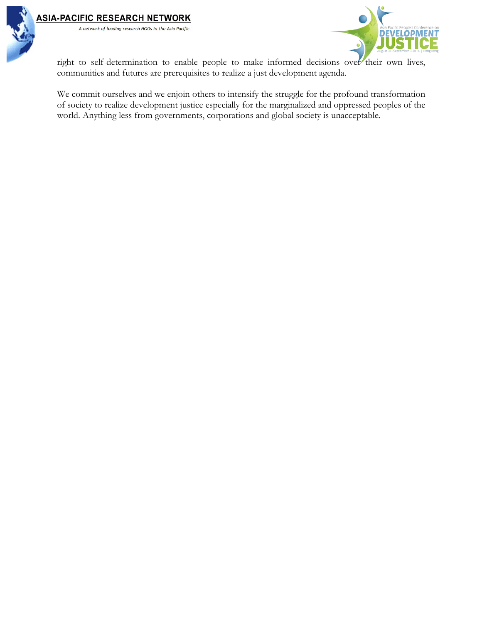

right to self-determination to enable people to make informed decisions over their own lives, communities and futures are prerequisites to realize a just development agenda.

We commit ourselves and we enjoin others to intensify the struggle for the profound transformation of society to realize development justice especially for the marginalized and oppressed peoples of the world. Anything less from governments, corporations and global society is unacceptable.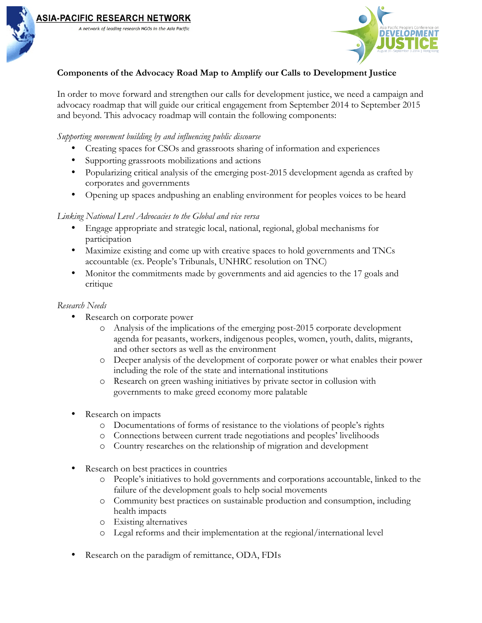



# **Components of the Advocacy Road Map to Amplify our Calls to Development Justice**

In order to move forward and strengthen our calls for development justice, we need a campaign and advocacy roadmap that will guide our critical engagement from September 2014 to September 2015 and beyond. This advocacy roadmap will contain the following components:

#### *Supporting movement building by and influencing public discourse*

A network of leading research NGOs in the Asia Pacific

- Creating spaces for CSOs and grassroots sharing of information and experiences
- Supporting grassroots mobilizations and actions
- Popularizing critical analysis of the emerging post-2015 development agenda as crafted by corporates and governments
- Opening up spaces andpushing an enabling environment for peoples voices to be heard

#### *Linking National Level Advocacies to the Global and vice versa*

- Engage appropriate and strategic local, national, regional, global mechanisms for participation
- Maximize existing and come up with creative spaces to hold governments and TNCs accountable (ex. People's Tribunals, UNHRC resolution on TNC)
- Monitor the commitments made by governments and aid agencies to the 17 goals and critique

#### *Research Needs*

- Research on corporate power
	- o Analysis of the implications of the emerging post-2015 corporate development agenda for peasants, workers, indigenous peoples, women, youth, dalits, migrants, and other sectors as well as the environment
	- o Deeper analysis of the development of corporate power or what enables their power including the role of the state and international institutions
	- o Research on green washing initiatives by private sector in collusion with governments to make greed economy more palatable
- Research on impacts
	- o Documentations of forms of resistance to the violations of people's rights
	- o Connections between current trade negotiations and peoples' livelihoods
	- o Country researches on the relationship of migration and development
- Research on best practices in countries
	- o People's initiatives to hold governments and corporations accountable, linked to the failure of the development goals to help social movements
	- o Community best practices on sustainable production and consumption, including health impacts
	- o Existing alternatives
	- o Legal reforms and their implementation at the regional/international level
- Research on the paradigm of remittance, ODA, FDIs